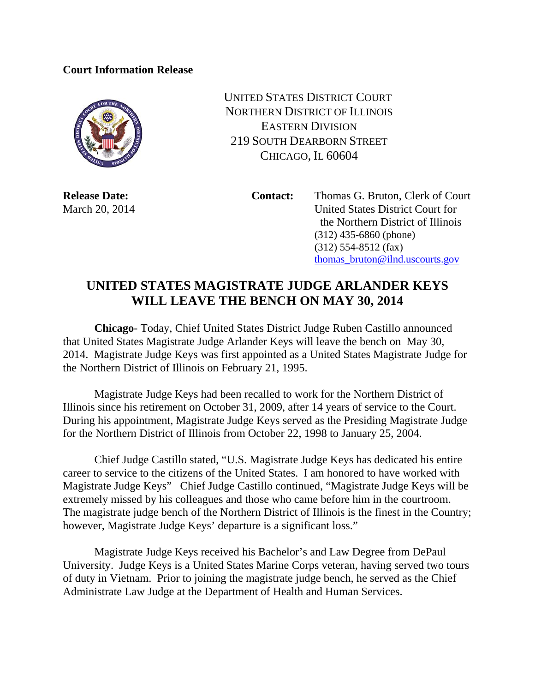## **Court Information Release**



UNITED STATES DISTRICT COURT NORTHERN DISTRICT OF ILLINOIS EASTERN DIVISION 219 SOUTH DEARBORN STREET CHICAGO, IL 60604

**Release Date:** Contact: Thomas G. Bruton, Clerk of Court March 20, 2014 United States District Court for the Northern District of Illinois (312) 435-6860 (phone) (312) 554-8512 (fax) thomas\_bruton@ilnd.uscourts.gov

## **UNITED STATES MAGISTRATE JUDGE ARLANDER KEYS WILL LEAVE THE BENCH ON MAY 30, 2014**

**Chicago**- Today, Chief United States District Judge Ruben Castillo announced that United States Magistrate Judge Arlander Keys will leave the bench on May 30, 2014. Magistrate Judge Keys was first appointed as a United States Magistrate Judge for the Northern District of Illinois on February 21, 1995.

Magistrate Judge Keys had been recalled to work for the Northern District of Illinois since his retirement on October 31, 2009, after 14 years of service to the Court. During his appointment, Magistrate Judge Keys served as the Presiding Magistrate Judge for the Northern District of Illinois from October 22, 1998 to January 25, 2004.

Chief Judge Castillo stated, "U.S. Magistrate Judge Keys has dedicated his entire career to service to the citizens of the United States. I am honored to have worked with Magistrate Judge Keys" Chief Judge Castillo continued, "Magistrate Judge Keys will be extremely missed by his colleagues and those who came before him in the courtroom. The magistrate judge bench of the Northern District of Illinois is the finest in the Country; however, Magistrate Judge Keys' departure is a significant loss."

Magistrate Judge Keys received his Bachelor's and Law Degree from DePaul University. Judge Keys is a United States Marine Corps veteran, having served two tours of duty in Vietnam. Prior to joining the magistrate judge bench, he served as the Chief Administrate Law Judge at the Department of Health and Human Services.